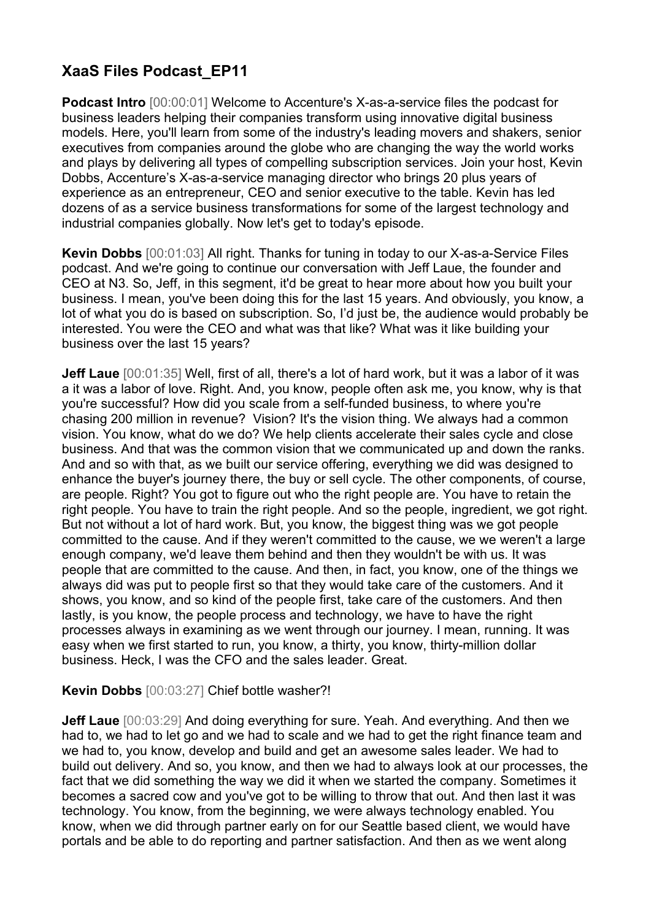## **XaaS Files Podcast\_EP11**

**Podcast Intro** [00:00:01] Welcome to Accenture's X-as-a-service files the podcast for business leaders helping their companies transform using innovative digital business models. Here, you'll learn from some of the industry's leading movers and shakers, senior executives from companies around the globe who are changing the way the world works and plays by delivering all types of compelling subscription services. Join your host, Kevin Dobbs, Accenture's X-as-a-service managing director who brings 20 plus years of experience as an entrepreneur, CEO and senior executive to the table. Kevin has led dozens of as a service business transformations for some of the largest technology and industrial companies globally. Now let's get to today's episode.

**Kevin Dobbs** [00:01:03] All right. Thanks for tuning in today to our X-as-a-Service Files podcast. And we're going to continue our conversation with Jeff Laue, the founder and CEO at N3. So, Jeff, in this segment, it'd be great to hear more about how you built your business. I mean, you've been doing this for the last 15 years. And obviously, you know, a lot of what you do is based on subscription. So, I'd just be, the audience would probably be interested. You were the CEO and what was that like? What was it like building your business over the last 15 years?

**Jeff Laue** [00:01:35] Well, first of all, there's a lot of hard work, but it was a labor of it was a it was a labor of love. Right. And, you know, people often ask me, you know, why is that you're successful? How did you scale from a self-funded business, to where you're chasing 200 million in revenue? Vision? It's the vision thing. We always had a common vision. You know, what do we do? We help clients accelerate their sales cycle and close business. And that was the common vision that we communicated up and down the ranks. And and so with that, as we built our service offering, everything we did was designed to enhance the buyer's journey there, the buy or sell cycle. The other components, of course, are people. Right? You got to figure out who the right people are. You have to retain the right people. You have to train the right people. And so the people, ingredient, we got right. But not without a lot of hard work. But, you know, the biggest thing was we got people committed to the cause. And if they weren't committed to the cause, we we weren't a large enough company, we'd leave them behind and then they wouldn't be with us. It was people that are committed to the cause. And then, in fact, you know, one of the things we always did was put to people first so that they would take care of the customers. And it shows, you know, and so kind of the people first, take care of the customers. And then lastly, is you know, the people process and technology, we have to have the right processes always in examining as we went through our journey. I mean, running. It was easy when we first started to run, you know, a thirty, you know, thirty-million dollar business. Heck, I was the CFO and the sales leader. Great.

## **Kevin Dobbs** [00:03:27] Chief bottle washer?!

**Jeff Laue** [00:03:29] And doing everything for sure. Yeah. And everything. And then we had to, we had to let go and we had to scale and we had to get the right finance team and we had to, you know, develop and build and get an awesome sales leader. We had to build out delivery. And so, you know, and then we had to always look at our processes, the fact that we did something the way we did it when we started the company. Sometimes it becomes a sacred cow and you've got to be willing to throw that out. And then last it was technology. You know, from the beginning, we were always technology enabled. You know, when we did through partner early on for our Seattle based client, we would have portals and be able to do reporting and partner satisfaction. And then as we went along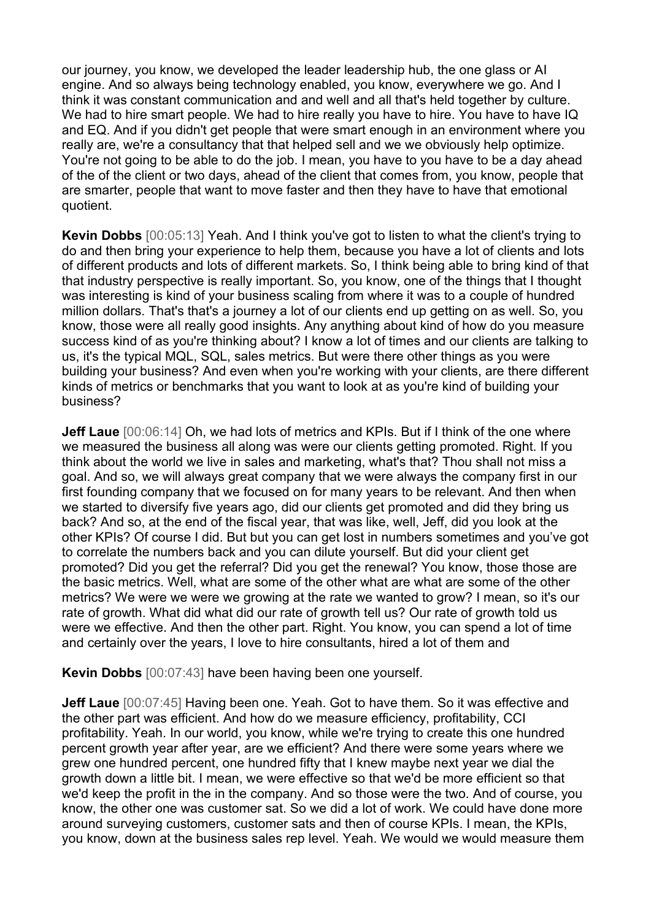our journey, you know, we developed the leader leadership hub, the one glass or AI engine. And so always being technology enabled, you know, everywhere we go. And I think it was constant communication and and well and all that's held together by culture. We had to hire smart people. We had to hire really you have to hire. You have to have IQ and EQ. And if you didn't get people that were smart enough in an environment where you really are, we're a consultancy that that helped sell and we we obviously help optimize. You're not going to be able to do the job. I mean, you have to you have to be a day ahead of the of the client or two days, ahead of the client that comes from, you know, people that are smarter, people that want to move faster and then they have to have that emotional quotient.

**Kevin Dobbs** [00:05:13] Yeah. And I think you've got to listen to what the client's trying to do and then bring your experience to help them, because you have a lot of clients and lots of different products and lots of different markets. So, I think being able to bring kind of that that industry perspective is really important. So, you know, one of the things that I thought was interesting is kind of your business scaling from where it was to a couple of hundred million dollars. That's that's a journey a lot of our clients end up getting on as well. So, you know, those were all really good insights. Any anything about kind of how do you measure success kind of as you're thinking about? I know a lot of times and our clients are talking to us, it's the typical MQL, SQL, sales metrics. But were there other things as you were building your business? And even when you're working with your clients, are there different kinds of metrics or benchmarks that you want to look at as you're kind of building your business?

**Jeff Laue** [00:06:14] Oh, we had lots of metrics and KPIs. But if I think of the one where we measured the business all along was were our clients getting promoted. Right. If you think about the world we live in sales and marketing, what's that? Thou shall not miss a goal. And so, we will always great company that we were always the company first in our first founding company that we focused on for many years to be relevant. And then when we started to diversify five years ago, did our clients get promoted and did they bring us back? And so, at the end of the fiscal year, that was like, well, Jeff, did you look at the other KPIs? Of course I did. But but you can get lost in numbers sometimes and you've got to correlate the numbers back and you can dilute yourself. But did your client get promoted? Did you get the referral? Did you get the renewal? You know, those those are the basic metrics. Well, what are some of the other what are what are some of the other metrics? We were we were we growing at the rate we wanted to grow? I mean, so it's our rate of growth. What did what did our rate of growth tell us? Our rate of growth told us were we effective. And then the other part. Right. You know, you can spend a lot of time and certainly over the years, I love to hire consultants, hired a lot of them and

**Kevin Dobbs** [00:07:43] have been having been one yourself.

**Jeff Laue** [00:07:45] Having been one. Yeah. Got to have them. So it was effective and the other part was efficient. And how do we measure efficiency, profitability, CCI profitability. Yeah. In our world, you know, while we're trying to create this one hundred percent growth year after year, are we efficient? And there were some years where we grew one hundred percent, one hundred fifty that I knew maybe next year we dial the growth down a little bit. I mean, we were effective so that we'd be more efficient so that we'd keep the profit in the in the company. And so those were the two. And of course, you know, the other one was customer sat. So we did a lot of work. We could have done more around surveying customers, customer sats and then of course KPIs. I mean, the KPIs, you know, down at the business sales rep level. Yeah. We would we would measure them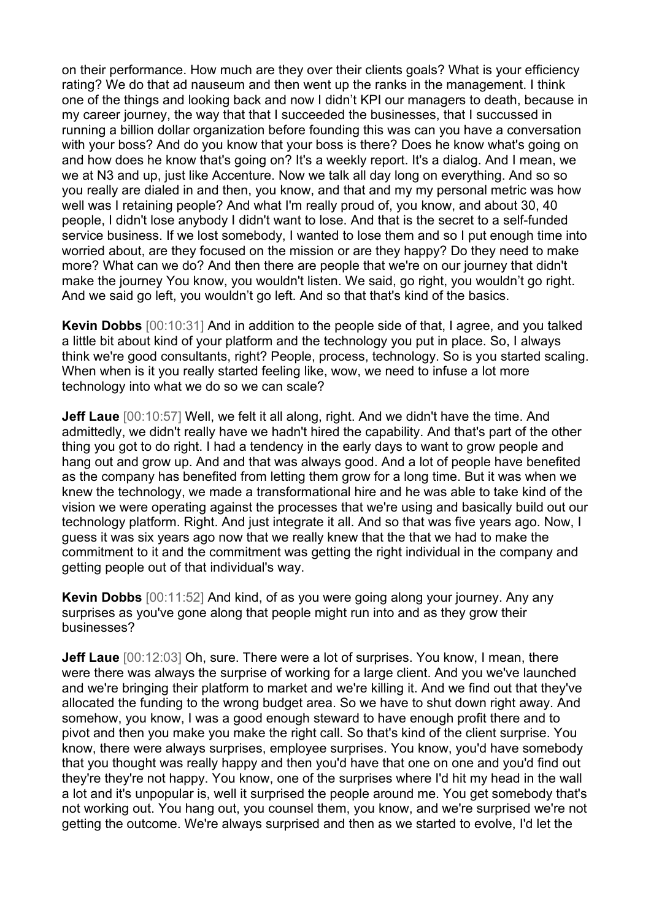on their performance. How much are they over their clients goals? What is your efficiency rating? We do that ad nauseum and then went up the ranks in the management. I think one of the things and looking back and now I didn't KPI our managers to death, because in my career journey, the way that that I succeeded the businesses, that I succussed in running a billion dollar organization before founding this was can you have a conversation with your boss? And do you know that your boss is there? Does he know what's going on and how does he know that's going on? It's a weekly report. It's a dialog. And I mean, we we at N3 and up, just like Accenture. Now we talk all day long on everything. And so so you really are dialed in and then, you know, and that and my my personal metric was how well was I retaining people? And what I'm really proud of, you know, and about 30, 40 people, I didn't lose anybody I didn't want to lose. And that is the secret to a self-funded service business. If we lost somebody, I wanted to lose them and so I put enough time into worried about, are they focused on the mission or are they happy? Do they need to make more? What can we do? And then there are people that we're on our journey that didn't make the journey You know, you wouldn't listen. We said, go right, you wouldn't go right. And we said go left, you wouldn't go left. And so that that's kind of the basics.

**Kevin Dobbs** [00:10:31] And in addition to the people side of that, I agree, and you talked a little bit about kind of your platform and the technology you put in place. So, I always think we're good consultants, right? People, process, technology. So is you started scaling. When when is it you really started feeling like, wow, we need to infuse a lot more technology into what we do so we can scale?

**Jeff Laue** [00:10:57] Well, we felt it all along, right. And we didn't have the time. And admittedly, we didn't really have we hadn't hired the capability. And that's part of the other thing you got to do right. I had a tendency in the early days to want to grow people and hang out and grow up. And and that was always good. And a lot of people have benefited as the company has benefited from letting them grow for a long time. But it was when we knew the technology, we made a transformational hire and he was able to take kind of the vision we were operating against the processes that we're using and basically build out our technology platform. Right. And just integrate it all. And so that was five years ago. Now, I guess it was six years ago now that we really knew that the that we had to make the commitment to it and the commitment was getting the right individual in the company and getting people out of that individual's way.

**Kevin Dobbs** [00:11:52] And kind, of as you were going along your journey. Any any surprises as you've gone along that people might run into and as they grow their businesses?

**Jeff Laue** [00:12:03] Oh, sure. There were a lot of surprises. You know, I mean, there were there was always the surprise of working for a large client. And you we've launched and we're bringing their platform to market and we're killing it. And we find out that they've allocated the funding to the wrong budget area. So we have to shut down right away. And somehow, you know, I was a good enough steward to have enough profit there and to pivot and then you make you make the right call. So that's kind of the client surprise. You know, there were always surprises, employee surprises. You know, you'd have somebody that you thought was really happy and then you'd have that one on one and you'd find out they're they're not happy. You know, one of the surprises where I'd hit my head in the wall a lot and it's unpopular is, well it surprised the people around me. You get somebody that's not working out. You hang out, you counsel them, you know, and we're surprised we're not getting the outcome. We're always surprised and then as we started to evolve, I'd let the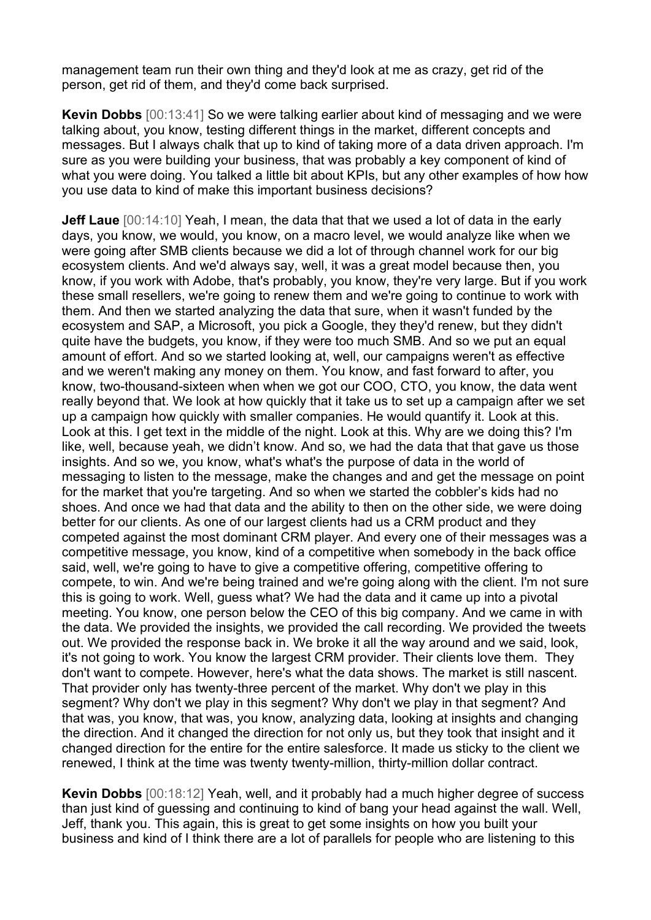management team run their own thing and they'd look at me as crazy, get rid of the person, get rid of them, and they'd come back surprised.

**Kevin Dobbs** [00:13:41] So we were talking earlier about kind of messaging and we were talking about, you know, testing different things in the market, different concepts and messages. But I always chalk that up to kind of taking more of a data driven approach. I'm sure as you were building your business, that was probably a key component of kind of what you were doing. You talked a little bit about KPIs, but any other examples of how how you use data to kind of make this important business decisions?

**Jeff Laue** [00:14:10] Yeah, I mean, the data that that we used a lot of data in the early days, you know, we would, you know, on a macro level, we would analyze like when we were going after SMB clients because we did a lot of through channel work for our big ecosystem clients. And we'd always say, well, it was a great model because then, you know, if you work with Adobe, that's probably, you know, they're very large. But if you work these small resellers, we're going to renew them and we're going to continue to work with them. And then we started analyzing the data that sure, when it wasn't funded by the ecosystem and SAP, a Microsoft, you pick a Google, they they'd renew, but they didn't quite have the budgets, you know, if they were too much SMB. And so we put an equal amount of effort. And so we started looking at, well, our campaigns weren't as effective and we weren't making any money on them. You know, and fast forward to after, you know, two-thousand-sixteen when when we got our COO, CTO, you know, the data went really beyond that. We look at how quickly that it take us to set up a campaign after we set up a campaign how quickly with smaller companies. He would quantify it. Look at this. Look at this. I get text in the middle of the night. Look at this. Why are we doing this? I'm like, well, because yeah, we didn't know. And so, we had the data that that gave us those insights. And so we, you know, what's what's the purpose of data in the world of messaging to listen to the message, make the changes and and get the message on point for the market that you're targeting. And so when we started the cobbler's kids had no shoes. And once we had that data and the ability to then on the other side, we were doing better for our clients. As one of our largest clients had us a CRM product and they competed against the most dominant CRM player. And every one of their messages was a competitive message, you know, kind of a competitive when somebody in the back office said, well, we're going to have to give a competitive offering, competitive offering to compete, to win. And we're being trained and we're going along with the client. I'm not sure this is going to work. Well, guess what? We had the data and it came up into a pivotal meeting. You know, one person below the CEO of this big company. And we came in with the data. We provided the insights, we provided the call recording. We provided the tweets out. We provided the response back in. We broke it all the way around and we said, look, it's not going to work. You know the largest CRM provider. Their clients love them. They don't want to compete. However, here's what the data shows. The market is still nascent. That provider only has twenty-three percent of the market. Why don't we play in this segment? Why don't we play in this segment? Why don't we play in that segment? And that was, you know, that was, you know, analyzing data, looking at insights and changing the direction. And it changed the direction for not only us, but they took that insight and it changed direction for the entire for the entire salesforce. It made us sticky to the client we renewed, I think at the time was twenty twenty-million, thirty-million dollar contract.

**Kevin Dobbs** [00:18:12] Yeah, well, and it probably had a much higher degree of success than just kind of guessing and continuing to kind of bang your head against the wall. Well, Jeff, thank you. This again, this is great to get some insights on how you built your business and kind of I think there are a lot of parallels for people who are listening to this